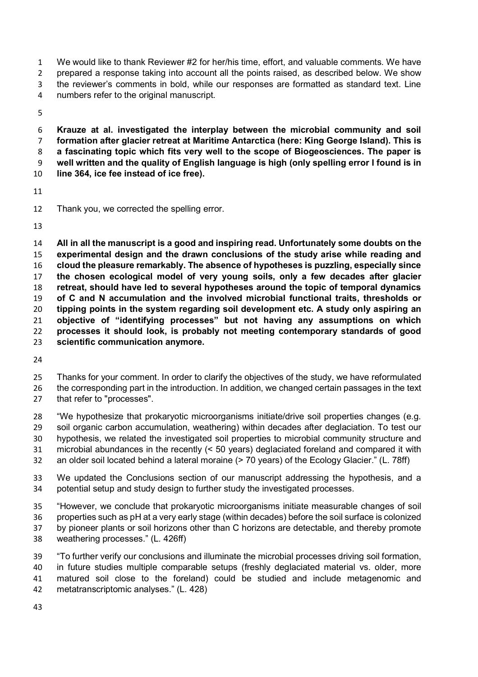We would like to thank Reviewer #2 for her/his time, effort, and valuable comments. We have prepared a response taking into account all the points raised, as described below. We show the reviewer's comments in bold, while our responses are formatted as standard text. Line numbers refer to the original manuscript.

**Krauze at al. investigated the interplay between the microbial community and soil formation after glacier retreat at Maritime Antarctica (here: King George Island). This is a fascinating topic which fits very well to the scope of Biogeosciences. The paper is well written and the quality of English language is high (only spelling error I found is in line 364, ice fee instead of ice free).** 

Thank you, we corrected the spelling error.

**All in all the manuscript is a good and inspiring read. Unfortunately some doubts on the experimental design and the drawn conclusions of the study arise while reading and cloud the pleasure remarkably. The absence of hypotheses is puzzling, especially since the chosen ecological model of very young soils, only a few decades after glacier retreat, should have led to several hypotheses around the topic of temporal dynamics of C and N accumulation and the involved microbial functional traits, thresholds or tipping points in the system regarding soil development etc. A study only aspiring an objective of "identifying processes" but not having any assumptions on which processes it should look, is probably not meeting contemporary standards of good scientific communication anymore.** 

Thanks for your comment. In order to clarify the objectives of the study, we have reformulated the corresponding part in the introduction. In addition, we changed certain passages in the text

that refer to "processes".

"We hypothesize that prokaryotic microorganisms initiate/drive soil properties changes (e.g. soil organic carbon accumulation, weathering) within decades after deglaciation. To test our

hypothesis, we related the investigated soil properties to microbial community structure and

microbial abundances in the recently (< 50 years) deglaciated foreland and compared it with

an older soil located behind a lateral moraine (> 70 years) of the Ecology Glacier." (L. 78ff)

We updated the Conclusions section of our manuscript addressing the hypothesis, and a potential setup and study design to further study the investigated processes.

"However, we conclude that prokaryotic microorganisms initiate measurable changes of soil properties such as pH at a very early stage (within decades) before the soil surface is colonized by pioneer plants or soil horizons other than C horizons are detectable, and thereby promote weathering processes." (L. 426ff)

"To further verify our conclusions and illuminate the microbial processes driving soil formation, in future studies multiple comparable setups (freshly deglaciated material vs. older, more matured soil close to the foreland) could be studied and include metagenomic and metatranscriptomic analyses." (L. 428)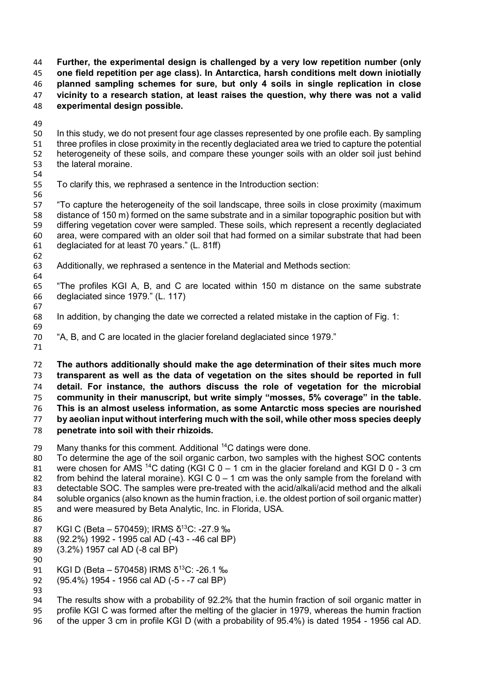**Further, the experimental design is challenged by a very low repetition number (only one field repetition per age class). In Antarctica, harsh conditions melt down iniotially planned sampling schemes for sure, but only 4 soils in single replication in close vicinity to a research station, at least raises the question, why there was not a valid experimental design possible.** 

In this study, we do not present four age classes represented by one profile each. By sampling three profiles in close proximity in the recently deglaciated area we tried to capture the potential heterogeneity of these soils, and compare these younger soils with an older soil just behind the lateral moraine.

- 
- To clarify this, we rephrased a sentence in the Introduction section:

"To capture the heterogeneity of the soil landscape, three soils in close proximity (maximum distance of 150 m) formed on the same substrate and in a similar topographic position but with differing vegetation cover were sampled. These soils, which represent a recently deglaciated area, were compared with an older soil that had formed on a similar substrate that had been deglaciated for at least 70 years." (L. 81ff)

- Additionally, we rephrased a sentence in the Material and Methods section:
- 

"The profiles KGI A, B, and C are located within 150 m distance on the same substrate deglaciated since 1979." (L. 117)

- In addition, by changing the date we corrected a related mistake in the caption of Fig. 1:
- "A, B, and C are located in the glacier foreland deglaciated since 1979."
- 

**The authors additionally should make the age determination of their sites much more** 

**transparent as well as the data of vegetation on the sites should be reported in full detail. For instance, the authors discuss the role of vegetation for the microbial community in their manuscript, but write simply "mosses, 5% coverage" in the table. This is an almost useless information, as some Antarctic moss species are nourished by aeolian input without interfering much with the soil, while other moss species deeply penetrate into soil with their rhizoids.** 

79 Many thanks for this comment. Additional  $^{14}$ C datings were done.

To determine the age of the soil organic carbon, two samples with the highest SOC contents 81 were chosen for AMS<sup>14</sup>C dating (KGI C  $0 - 1$  cm in the glacier foreland and KGI D 0 - 3 cm 82 from behind the lateral moraine). KGI C  $0 - 1$  cm was the only sample from the foreland with detectable SOC. The samples were pre-treated with the acid/alkali/acid method and the alkali soluble organics (also known as the humin fraction, i.e. the oldest portion of soil organic matter) and were measured by Beta Analytic, Inc. in Florida, USA. 

- 87 KGI C (Beta 570459); IRMS δ<sup>13</sup>C: -27.9 ‰
- (92.2%) 1992 1995 cal AD (-43 -46 cal BP)
- (3.2%) 1957 cal AD (-8 cal BP)
- 91 KGI D (Beta 570458) IRMS  $\delta^{13}$ C: -26.1 ‰
- (95.4%) 1954 1956 cal AD (-5 -7 cal BP)
- 

The results show with a probability of 92.2% that the humin fraction of soil organic matter in profile KGI C was formed after the melting of the glacier in 1979, whereas the humin fraction of the upper 3 cm in profile KGI D (with a probability of 95.4%) is dated 1954 - 1956 cal AD.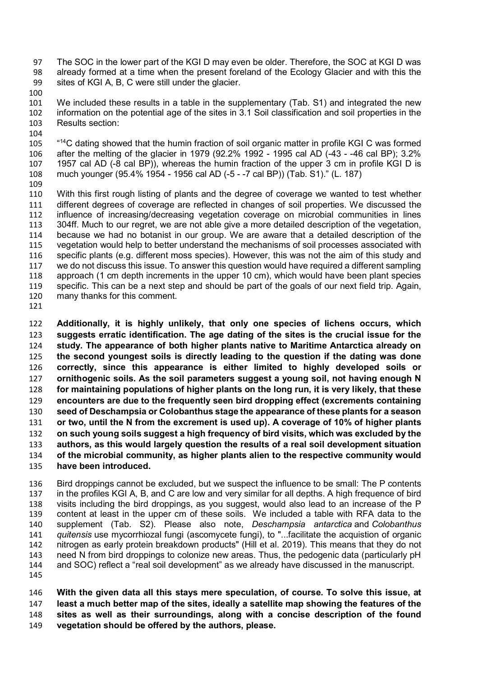- The SOC in the lower part of the KGI D may even be older. Therefore, the SOC at KGI D was already formed at a time when the present foreland of the Ecology Glacier and with this the sites of KGI A, B, C were still under the glacier.
- We included these results in a table in the supplementary (Tab. S1) and integrated the new information on the potential age of the sites in 3.1 Soil classification and soil properties in the Results section:
- 105 <sup>"14</sup>C dating showed that the humin fraction of soil organic matter in profile KGI C was formed after the melting of the glacier in 1979 (92.2% 1992 - 1995 cal AD (-43 - -46 cal BP); 3.2% 1957 cal AD (-8 cal BP)), whereas the humin fraction of the upper 3 cm in profile KGI D is much younger (95.4% 1954 - 1956 cal AD (-5 - -7 cal BP)) (Tab. S1)." (L. 187)
- With this first rough listing of plants and the degree of coverage we wanted to test whether different degrees of coverage are reflected in changes of soil properties. We discussed the influence of increasing/decreasing vegetation coverage on microbial communities in lines 304ff. Much to our regret, we are not able give a more detailed description of the vegetation, because we had no botanist in our group. We are aware that a detailed description of the vegetation would help to better understand the mechanisms of soil processes associated with specific plants (e.g. different moss species). However, this was not the aim of this study and we do not discuss this issue. To answer this question would have required a different sampling approach (1 cm depth increments in the upper 10 cm), which would have been plant species specific. This can be a next step and should be part of the goals of our next field trip. Again, many thanks for this comment.
- 

**Additionally, it is highly unlikely, that only one species of lichens occurs, which suggests erratic identification. The age dating of the sites is the crucial issue for the study. The appearance of both higher plants native to Maritime Antarctica already on the second youngest soils is directly leading to the question if the dating was done correctly, since this appearance is either limited to highly developed soils or ornithogenic soils. As the soil parameters suggest a young soil, not having enough N for maintaining populations of higher plants on the long run, it is very likely, that these encounters are due to the frequently seen bird dropping effect (excrements containing seed of Deschampsia or Colobanthus stage the appearance of these plants for a season or two, until the N from the excrement is used up). A coverage of 10% of higher plants on such young soils suggest a high frequency of bird visits, which was excluded by the authors, as this would largely question the results of a real soil development situation of the microbial community, as higher plants alien to the respective community would have been introduced.** 

Bird droppings cannot be excluded, but we suspect the influence to be small: The P contents in the profiles KGI A, B, and C are low and very similar for all depths. A high frequence of bird visits including the bird droppings, as you suggest, would also lead to an increase of the P content at least in the upper cm of these soils. We included a table with RFA data to the supplement (Tab. S2). Please also note, *Deschampsia antarctica* and *Colobanthus quitensis* use mycorrhiozal fungi (ascomycete fungi), to "...facilitate the acquistion of organic nitrogen as early protein breakdown products" (Hill et al. 2019). This means that they do not need N from bird droppings to colonize new areas. Thus, the pedogenic data (particularly pH and SOC) reflect a "real soil development" as we already have discussed in the manuscript. 

**With the given data all this stays mere speculation, of course. To solve this issue, at least a much better map of the sites, ideally a satellite map showing the features of the sites as well as their surroundings, along with a concise description of the found vegetation should be offered by the authors, please.**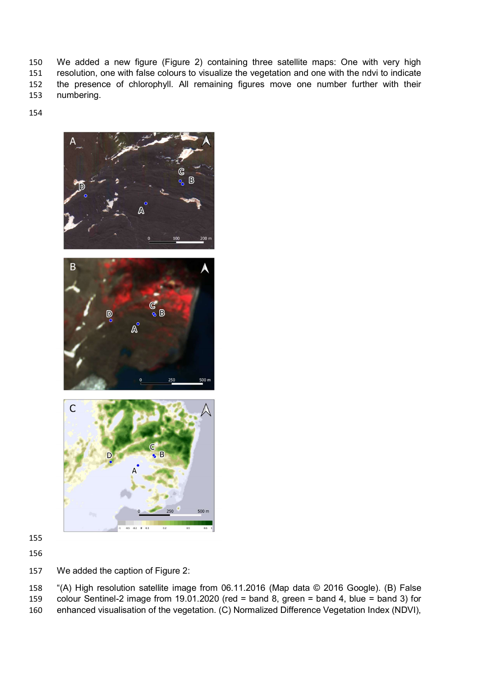We added a new figure (Figure 2) containing three satellite maps: One with very high resolution, one with false colours to visualize the vegetation and one with the ndvi to indicate the presence of chlorophyll. All remaining figures move one number further with their numbering.





- 
- 

We added the caption of Figure 2:

"(A) High resolution satellite image from 06.11.2016 (Map data © 2016 Google). (B) False colour Sentinel-2 image from 19.01.2020 (red = band 8, green = band 4, blue = band 3) for enhanced visualisation of the vegetation. (C) Normalized Difference Vegetation Index (NDVI),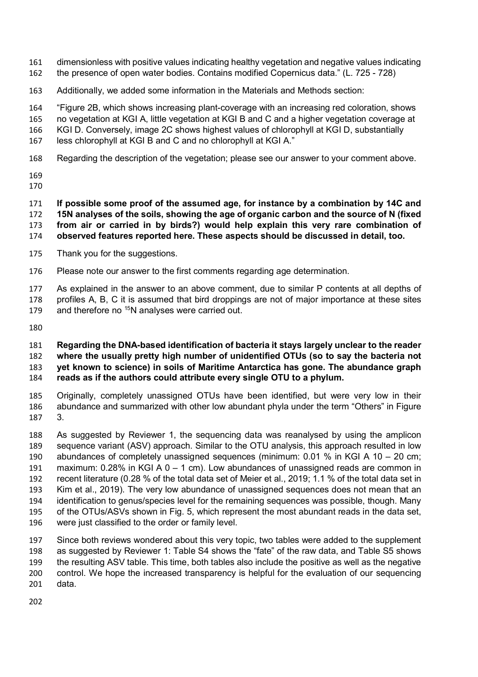- dimensionless with positive values indicating healthy vegetation and negative values indicating the presence of open water bodies. Contains modified Copernicus data." (L. 725 - 728)
- Additionally, we added some information in the Materials and Methods section:

"Figure 2B, which shows increasing plant-coverage with an increasing red coloration, shows

no vegetation at KGI A, little vegetation at KGI B and C and a higher vegetation coverage at

KGI D. Conversely, image 2C shows highest values of chlorophyll at KGI D, substantially

less chlorophyll at KGI B and C and no chlorophyll at KGI A."

- Regarding the description of the vegetation; please see our answer to your comment above.
- 

**If possible some proof of the assumed age, for instance by a combination by 14C and 15N analyses of the soils, showing the age of organic carbon and the source of N (fixed from air or carried in by birds?) would help explain this very rare combination of observed features reported here. These aspects should be discussed in detail, too.** 

- Thank you for the suggestions.
- Please note our answer to the first comments regarding age determination.

As explained in the answer to an above comment, due to similar P contents at all depths of profiles A, B, C it is assumed that bird droppings are not of major importance at these sites 179 and therefore no N analyses were carried out.

## **Regarding the DNA-based identification of bacteria it stays largely unclear to the reader where the usually pretty high number of unidentified OTUs (so to say the bacteria not yet known to science) in soils of Maritime Antarctica has gone. The abundance graph reads as if the authors could attribute every single OTU to a phylum.**

Originally, completely unassigned OTUs have been identified, but were very low in their abundance and summarized with other low abundant phyla under the term "Others" in Figure 3.

As suggested by Reviewer 1, the sequencing data was reanalysed by using the amplicon sequence variant (ASV) approach. Similar to the OTU analysis, this approach resulted in low abundances of completely unassigned sequences (minimum: 0.01 % in KGI A 10 – 20 cm; 191 maximum:  $0.28\%$  in KGI A 0 – 1 cm). Low abundances of unassigned reads are common in recent literature (0.28 % of the total data set of Meier et al., 2019; 1.1 % of the total data set in Kim et al., 2019). The very low abundance of unassigned sequences does not mean that an identification to genus/species level for the remaining sequences was possible, though. Many of the OTUs/ASVs shown in Fig. 5, which represent the most abundant reads in the data set, were just classified to the order or family level.

Since both reviews wondered about this very topic, two tables were added to the supplement as suggested by Reviewer 1: Table S4 shows the "fate" of the raw data, and Table S5 shows the resulting ASV table. This time, both tables also include the positive as well as the negative control. We hope the increased transparency is helpful for the evaluation of our sequencing data.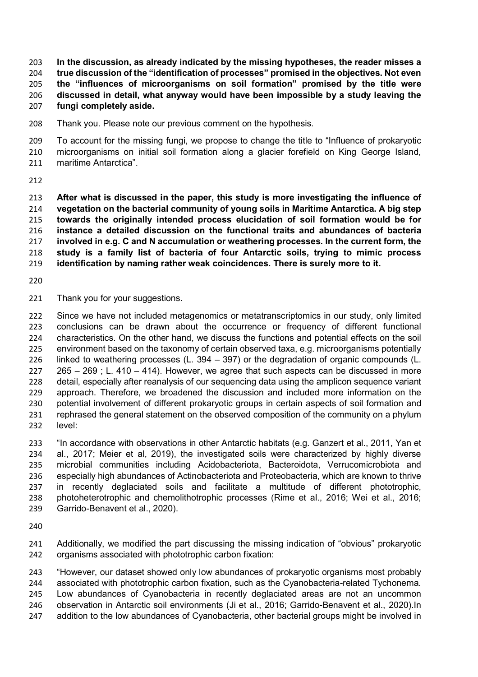**In the discussion, as already indicated by the missing hypotheses, the reader misses a true discussion of the "identification of processes" promised in the objectives. Not even the "influences of microorganisms on soil formation" promised by the title were discussed in detail, what anyway would have been impossible by a study leaving the fungi completely aside.** 

Thank you. Please note our previous comment on the hypothesis.

To account for the missing fungi, we propose to change the title to "Influence of prokaryotic microorganisms on initial soil formation along a glacier forefield on King George Island, maritime Antarctica".

**After what is discussed in the paper, this study is more investigating the influence of vegetation on the bacterial community of young soils in Maritime Antarctica. A big step towards the originally intended process elucidation of soil formation would be for instance a detailed discussion on the functional traits and abundances of bacteria involved in e.g. C and N accumulation or weathering processes. In the current form, the study is a family list of bacteria of four Antarctic soils, trying to mimic process identification by naming rather weak coincidences. There is surely more to it.** 

- 
- Thank you for your suggestions.

222 Since we have not included metagenomics or metatranscriptomics in our study, only limited conclusions can be drawn about the occurrence or frequency of different functional characteristics. On the other hand, we discuss the functions and potential effects on the soil environment based on the taxonomy of certain observed taxa, e.g. microorganisms potentially linked to weathering processes (L. 394 – 397) or the degradation of organic compounds (L. 265 – 269 ; L. 410 – 414). However, we agree that such aspects can be discussed in more detail, especially after reanalysis of our sequencing data using the amplicon sequence variant approach. Therefore, we broadened the discussion and included more information on the potential involvement of different prokaryotic groups in certain aspects of soil formation and rephrased the general statement on the observed composition of the community on a phylum level:

"In accordance with observations in other Antarctic habitats (e.g. Ganzert et al., 2011, Yan et al., 2017; Meier et al, 2019), the investigated soils were characterized by highly diverse microbial communities including Acidobacteriota, Bacteroidota, Verrucomicrobiota and especially high abundances of Actinobacteriota and Proteobacteria, which are known to thrive in recently deglaciated soils and facilitate a multitude of different phototrophic, photoheterotrophic and chemolithotrophic processes (Rime et al., 2016; Wei et al., 2016; Garrido-Benavent et al., 2020).

Additionally, we modified the part discussing the missing indication of "obvious" prokaryotic organisms associated with phototrophic carbon fixation:

"However, our dataset showed only low abundances of prokaryotic organisms most probably associated with phototrophic carbon fixation, such as the Cyanobacteria-related Tychonema. Low abundances of Cyanobacteria in recently deglaciated areas are not an uncommon observation in Antarctic soil environments (Ji et al., 2016; Garrido-Benavent et al., 2020).In addition to the low abundances of Cyanobacteria, other bacterial groups might be involved in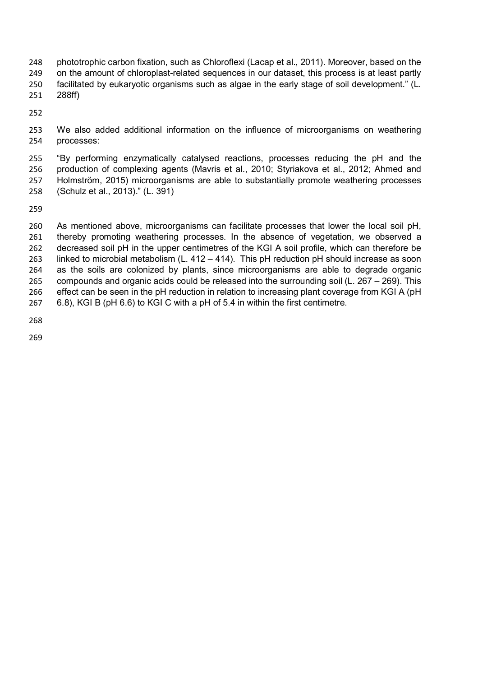248 phototrophic carbon fixation, such as Chloroflexi (Lacap et al., 2011). Moreover, based on the on the amount of chloroplast-related sequences in our dataset, this process is at least partly facilitated by eukaryotic organisms such as algae in the early stage of soil development." (L. 288ff)

We also added additional information on the influence of microorganisms on weathering processes:

"By performing enzymatically catalysed reactions, processes reducing the pH and the production of complexing agents (Mavris et al., 2010; Styriakova et al., 2012; Ahmed and Holmström, 2015) microorganisms are able to substantially promote weathering processes (Schulz et al., 2013)." (L. 391)

As mentioned above, microorganisms can facilitate processes that lower the local soil pH, thereby promoting weathering processes. In the absence of vegetation, we observed a 262 decreased soil pH in the upper centimetres of the KGI A soil profile, which can therefore be linked to microbial metabolism (L. 412 – 414). This pH reduction pH should increase as soon as the soils are colonized by plants, since microorganisms are able to degrade organic compounds and organic acids could be released into the surrounding soil (L. 267 – 269). This effect can be seen in the pH reduction in relation to increasing plant coverage from KGI A (pH 6.8), KGI B (pH 6.6) to KGI C with a pH of 5.4 in within the first centimetre.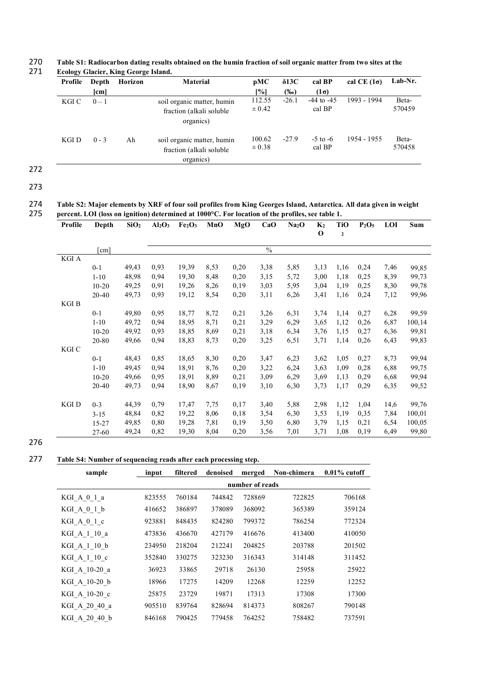270 **Table S1: Radiocarbon dating results obtained on the humin fraction of soil organic matter from two sites at the Ecology Glacier, King George Island.** 

| Profile | Depth                | Horizon | <b>Material</b>                                                      | pMC                  | $\delta$ 13C | cal BP                   | cal CE $(1\sigma)$ | Lab-Nr.         |
|---------|----------------------|---------|----------------------------------------------------------------------|----------------------|--------------|--------------------------|--------------------|-----------------|
|         | $\lceil$ cm $\rceil$ |         |                                                                      | [%]                  | $(\%0)$      | $(1\sigma)$              |                    |                 |
| KGI C   | $0 - 1$              |         | soil organic matter, humin<br>fraction (alkali soluble)<br>organics) | 112.55<br>$\pm 0.42$ | $-26.1$      | $-44$ to $-45$<br>cal BP | 1993 - 1994        | Beta-<br>570459 |
| KGI D   | $0 - 3$              | Ah      | soil organic matter, humin<br>fraction (alkali soluble)<br>organics) | 100.62<br>$\pm 0.38$ | $-27.9$      | $-5$ to $-6$<br>cal BP   | 1954 - 1955        | Beta-<br>570458 |

272

273

274 **Table S2: Major elements by XRF of four soil profiles from King Georges Island, Antarctica. All data given in weight**  275 **percent. LOI (loss on ignition) determined at 1000°C. For location of the profiles, see table 1.**

| Profile | Depth                | SiO <sub>2</sub> | Al <sub>2</sub> O <sub>3</sub> | Fe <sub>2</sub> O <sub>3</sub> | MnO  | MgO  | CaO           | Na <sub>2</sub> O | $K_2$       | <b>TiO</b>  | $P_2O_5$ | <b>LOI</b> | Sum    |
|---------|----------------------|------------------|--------------------------------|--------------------------------|------|------|---------------|-------------------|-------------|-------------|----------|------------|--------|
|         |                      |                  |                                |                                |      |      |               |                   | $\mathbf 0$ | $\mathbf 2$ |          |            |        |
|         |                      |                  |                                |                                |      |      |               |                   |             |             |          |            |        |
|         | $\lceil$ cm $\rceil$ |                  |                                |                                |      |      | $\frac{0}{6}$ |                   |             |             |          |            |        |
| KGI A   |                      |                  |                                |                                |      |      |               |                   |             |             |          |            |        |
|         | $0 - 1$              | 49,43            | 0,93                           | 19,39                          | 8,53 | 0,20 | 3,38          | 5,85              | 3,13        | 1,16        | 0,24     | 7,46       | 99,85  |
|         | $1 - 10$             | 48,98            | 0,94                           | 19,30                          | 8,48 | 0,20 | 3,15          | 5,72              | 3,00        | 1,18        | 0,25     | 8,39       | 99,73  |
|         | $10 - 20$            | 49,25            | 0,91                           | 19,26                          | 8,26 | 0,19 | 3,03          | 5,95              | 3,04        | 1,19        | 0,25     | 8,30       | 99,78  |
|         | $20 - 40$            | 49,73            | 0,93                           | 19,12                          | 8,54 | 0,20 | 3,11          | 6,26              | 3,41        | 1,16        | 0,24     | 7,12       | 99,96  |
| KGI B   |                      |                  |                                |                                |      |      |               |                   |             |             |          |            |        |
|         | $0 - 1$              | 49,80            | 0,95                           | 18,77                          | 8,72 | 0,21 | 3,26          | 6,31              | 3,74        | 1,14        | 0,27     | 6,28       | 99,59  |
|         | $1 - 10$             | 49,72            | 0,94                           | 18,95                          | 8,71 | 0,21 | 3,29          | 6,29              | 3,65        | 1,12        | 0,26     | 6,87       | 100,14 |
|         | $10 - 20$            | 49,92            | 0,93                           | 18,85                          | 8,69 | 0,21 | 3,18          | 6,34              | 3,76        | 1,15        | 0,27     | 6,36       | 99,81  |
|         | 20-80                | 49,66            | 0,94                           | 18,83                          | 8,73 | 0,20 | 3,25          | 6,51              | 3,71        | 1,14        | 0,26     | 6,43       | 99,83  |
| KGI C   |                      |                  |                                |                                |      |      |               |                   |             |             |          |            |        |
|         | $0 - 1$              | 48,43            | 0,85                           | 18,65                          | 8,30 | 0,20 | 3,47          | 6,23              | 3,62        | 1,05        | 0,27     | 8,73       | 99,94  |
|         | $1 - 10$             | 49,45            | 0,94                           | 18,91                          | 8,76 | 0,20 | 3,22          | 6,24              | 3,63        | 1,09        | 0,28     | 6,88       | 99,75  |
|         | $10 - 20$            | 49,66            | 0,95                           | 18,91                          | 8,89 | 0,21 | 3,09          | 6,29              | 3,69        | 1,13        | 0,29     | 6,68       | 99,94  |
|         | 20-40                | 49,73            | 0,94                           | 18,90                          | 8,67 | 0,19 | 3,10          | 6,30              | 3,73        | 1,17        | 0,29     | 6,35       | 99,52  |
|         |                      |                  |                                |                                |      |      |               |                   |             |             |          |            |        |
| KGI D   | $0 - 3$              | 44,39            | 0,79                           | 17,47                          | 7,75 | 0,17 | 3,40          | 5,88              | 2,98        | 1,12        | 1,04     | 14,6       | 99,76  |
|         | $3 - 15$             | 48,84            | 0,82                           | 19,22                          | 8,06 | 0,18 | 3,54          | 6,30              | 3,53        | 1,19        | 0,35     | 7,84       | 100,01 |
|         | 15-27                | 49,85            | 0,80                           | 19,28                          | 7,81 | 0,19 | 3,50          | 6,80              | 3,79        | 1,15        | 0,21     | 6,54       | 100,05 |
|         | 27-60                | 49,24            | 0,82                           | 19,30                          | 8,04 | 0,20 | 3,56          | 7,01              | 3,71        | 1,08        | 0,19     | 6,49       | 99,80  |

277 **Table S4: Number of sequencing reads after each processing step.** 

| sample        | input           | filtered | denoised | merged | Non-chimera | $0.01\%$ cutoff |  |  |  |
|---------------|-----------------|----------|----------|--------|-------------|-----------------|--|--|--|
|               | number of reads |          |          |        |             |                 |  |  |  |
| KGI A 0 1 a   | 823555          | 760184   | 744842   | 728869 | 722825      | 706168          |  |  |  |
| KGIA01b       | 416652          | 386897   | 378089   | 368092 | 365389      | 359124          |  |  |  |
| KGIA 0 1 c    | 923881          | 848435   | 824280   | 799372 | 786254      | 772324          |  |  |  |
| KGI A 1 10 a  | 473836          | 436670   | 427179   | 416676 | 413400      | 410050          |  |  |  |
| KGI A 1 10 b  | 234950          | 218204   | 212241   | 204825 | 203788      | 201502          |  |  |  |
| KGI A 1 10 c  | 352840          | 330275   | 323230   | 316343 | 314148      | 311452          |  |  |  |
| KGI A 10-20 a | 36923           | 33865    | 29718    | 26130  | 25958       | 25922           |  |  |  |
| KGI A 10-20 b | 18966           | 17275    | 14209    | 12268  | 12259       | 12252           |  |  |  |
| KGI A 10-20 c | 25875           | 23729    | 19871    | 17313  | 17308       | 17300           |  |  |  |
| KGI A 20 40 a | 905510          | 839764   | 828694   | 814373 | 808267      | 790148          |  |  |  |
| KGI A 20 40 b | 846168          | 790425   | 779458   | 764252 | 758482      | 737591          |  |  |  |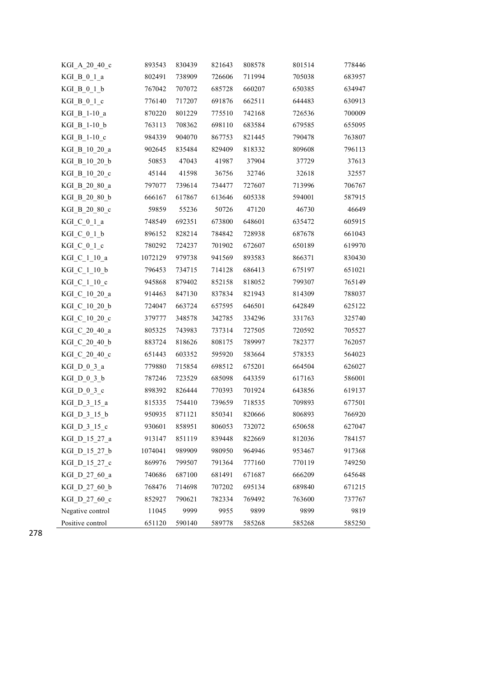| KGI_A_20_40_c             | 893543  | 830439 | 821643 | 808578 | 801514 | 778446 |
|---------------------------|---------|--------|--------|--------|--------|--------|
| KGI B 0 1 a               | 802491  | 738909 | 726606 | 711994 | 705038 | 683957 |
| KGI_B_0_1_b               | 767042  | 707072 | 685728 | 660207 | 650385 | 634947 |
| KGI B 0 1 c               | 776140  | 717207 | 691876 | 662511 | 644483 | 630913 |
| KGI B 1-10 a              | 870220  | 801229 | 775510 | 742168 | 726536 | 700009 |
| KGI B 1-10 b              | 763113  | 708362 | 698110 | 683584 | 679585 | 655095 |
| KGI B 1-10 c              | 984339  | 904070 | 867753 | 821445 | 790478 | 763807 |
| KGI B 10 20 a             | 902645  | 835484 | 829409 | 818332 | 809608 | 796113 |
| KGI B 10 20 b             | 50853   | 47043  | 41987  | 37904  | 37729  | 37613  |
| KGI B 10 20 c             | 45144   | 41598  | 36756  | 32746  | 32618  | 32557  |
| KGI B 20 80 a             | 797077  | 739614 | 734477 | 727607 | 713996 | 706767 |
| KGI B 20 80 b             | 666167  | 617867 | 613646 | 605338 | 594001 | 587915 |
| KGI B 20 80 c             | 59859   | 55236  | 50726  | 47120  | 46730  | 46649  |
| KGI C 0 1 a               | 748549  | 692351 | 673800 | 648601 | 635472 | 605915 |
| $KGI_C_0_1_b$             | 896152  | 828214 | 784842 | 728938 | 687678 | 661043 |
| KGI C 0 1 c               | 780292  | 724237 | 701902 | 672607 | 650189 | 619970 |
| KGI C 1 10 a              | 1072129 | 979738 | 941569 | 893583 | 866371 | 830430 |
| KGI C 1 10 b              | 796453  | 734715 | 714128 | 686413 | 675197 | 651021 |
| KGI C 1 10 c              | 945868  | 879402 | 852158 | 818052 | 799307 | 765149 |
| KGI_C_10_20_a             | 914463  | 847130 | 837834 | 821943 | 814309 | 788037 |
| KGI C 10 20 b             | 724047  | 663724 | 657595 | 646501 | 642849 | 625122 |
| KGI C 10 20 c             | 379777  | 348578 | 342785 | 334296 | 331763 | 325740 |
| KGI C 20 40 a             | 805325  | 743983 | 737314 | 727505 | 720592 | 705527 |
| KGI_C_20_40_b             | 883724  | 818626 | 808175 | 789997 | 782377 | 762057 |
| KGI_C_20_40_c             | 651443  | 603352 | 595920 | 583664 | 578353 | 564023 |
| KGI $D_0_3_a$             | 779880  | 715854 | 698512 | 675201 | 664504 | 626027 |
| $KGI_D_0_3_b$             | 787246  | 723529 | 685098 | 643359 | 617163 | 586001 |
| KGI $D_0_3_c$             | 898392  | 826444 | 770393 | 701924 | 643856 | 619137 |
| KGI D <sub>_3</sub> _15_a | 815335  | 754410 | 739659 | 718535 | 709893 | 677501 |
| KGI D 3 15 b              | 950935  | 871121 | 850341 | 820666 | 806893 | 766920 |
| KGI $D_3_15_c$            | 930601  | 858951 | 806053 | 732072 | 650658 | 627047 |
| KGI_D_15_27_a             | 913147  | 851119 | 839448 | 822669 | 812036 | 784157 |
| KGI D 15 27 b             | 1074041 | 989909 | 980950 | 964946 | 953467 | 917368 |
| KGI_D_15_27_c             | 869976  | 799507 | 791364 | 777160 | 770119 | 749250 |
| KGI_D_27_60_a             | 740686  | 687100 | 681491 | 671687 | 666209 | 645648 |
| KGI D 27 60 b             | 768476  | 714698 | 707202 | 695134 | 689840 | 671215 |
| KGI D 27 60 c             | 852927  | 790621 | 782334 | 769492 | 763600 | 737767 |
| Negative control          | 11045   | 9999   | 9955   | 9899   | 9899   | 9819   |
| Positive control          | 651120  | 590140 | 589778 | 585268 | 585268 | 585250 |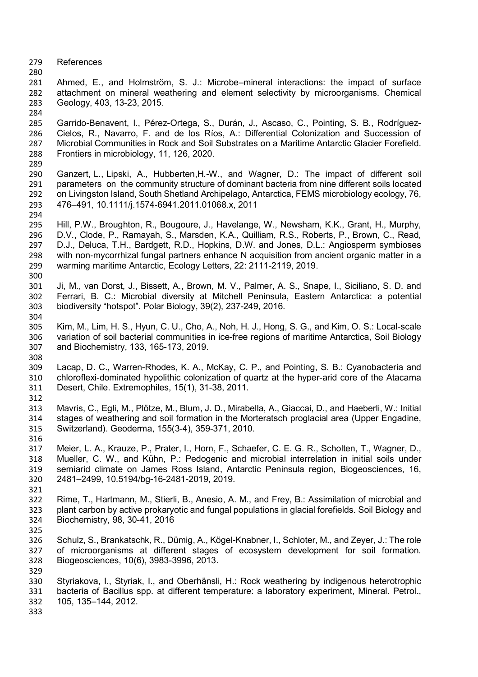References

 Ahmed, E., and Holmström, S. J.: Microbe–mineral interactions: the impact of surface attachment on mineral weathering and element selectivity by microorganisms. Chemical Geology, 403, 13-23, 2015.

- Garrido-Benavent, I., Pérez-Ortega, S., Durán, J., Ascaso, C., Pointing, S. B., Rodríguez-Cielos, R., Navarro, F. and de los Ríos, A.: Differential Colonization and Succession of Microbial Communities in Rock and Soil Substrates on a Maritime Antarctic Glacier Forefield. Frontiers in microbiology, 11, 126, 2020.
- Ganzert, L., Lipski, A., Hubberten,H.-W., and Wagner, D.: The impact of different soil parameters on the community structure of dominant bacteria from nine different soils located on Livingston Island, South Shetland Archipelago, Antarctica, FEMS microbiology ecology, 76, 476–491, 10.1111/j.1574-6941.2011.01068.x, 2011
- 

- Hill, P.W., Broughton, R., Bougoure, J., Havelange, W., Newsham, K.K., Grant, H., Murphy, D.V., Clode, P., Ramayah, S., Marsden, K.A., Quilliam, R.S., Roberts, P., Brown, C., Read, D.J., Deluca, T.H., Bardgett, R.D., Hopkins, D.W. and Jones, D.L.: Angiosperm symbioses with non-mycorrhizal fungal partners enhance N acquisition from ancient organic matter in a warming maritime Antarctic, Ecology Letters, 22: 2111-2119, 2019.
- Ji, M., van Dorst, J., Bissett, A., Brown, M. V., Palmer, A. S., Snape, I., Siciliano, S. D. and Ferrari, B. C.: Microbial diversity at Mitchell Peninsula, Eastern Antarctica: a potential biodiversity "hotspot". Polar Biology, 39(2), 237-249, 2016.
- Kim, M., Lim, H. S., Hyun, C. U., Cho, A., Noh, H. J., Hong, S. G., and Kim, O. S.: Local-scale variation of soil bacterial communities in ice-free regions of maritime Antarctica, Soil Biology and Biochemistry, 133, 165-173, 2019.
- Lacap, D. C., Warren-Rhodes, K. A., McKay, C. P., and Pointing, S. B.: Cyanobacteria and chloroflexi-dominated hypolithic colonization of quartz at the hyper-arid core of the Atacama Desert, Chile. Extremophiles, 15(1), 31-38, 2011.
- Mavris, C., Egli, M., Plötze, M., Blum, J. D., Mirabella, A., Giaccai, D., and Haeberli, W.: Initial stages of weathering and soil formation in the Morteratsch proglacial area (Upper Engadine, Switzerland). Geoderma, 155(3-4), 359-371, 2010.
- Meier, L. A., Krauze, P., Prater, I., Horn, F., Schaefer, C. E. G. R., Scholten, T., Wagner, D., Mueller, C. W., and Kühn, P.: Pedogenic and microbial interrelation in initial soils under semiarid climate on James Ross Island, Antarctic Peninsula region, Biogeosciences, 16, 2481–2499, 10.5194/bg-16-2481-2019, 2019.
- Rime, T., Hartmann, M., Stierli, B., Anesio, A. M., and Frey, B.: Assimilation of microbial and plant carbon by active prokaryotic and fungal populations in glacial forefields. Soil Biology and Biochemistry, 98, 30-41, 2016
- Schulz, S., Brankatschk, R., Dümig, A., Kögel-Knabner, I., Schloter, M., and Zeyer, J.: The role of microorganisms at different stages of ecosystem development for soil formation. Biogeosciences, 10(6), 3983-3996, 2013.
- 

- Styriakova, I., Styriak, I., and Oberhänsli, H.: Rock weathering by indigenous heterotrophic bacteria of Bacillus spp. at different temperature: a laboratory experiment, Mineral. Petrol., 105, 135–144, 2012.
-